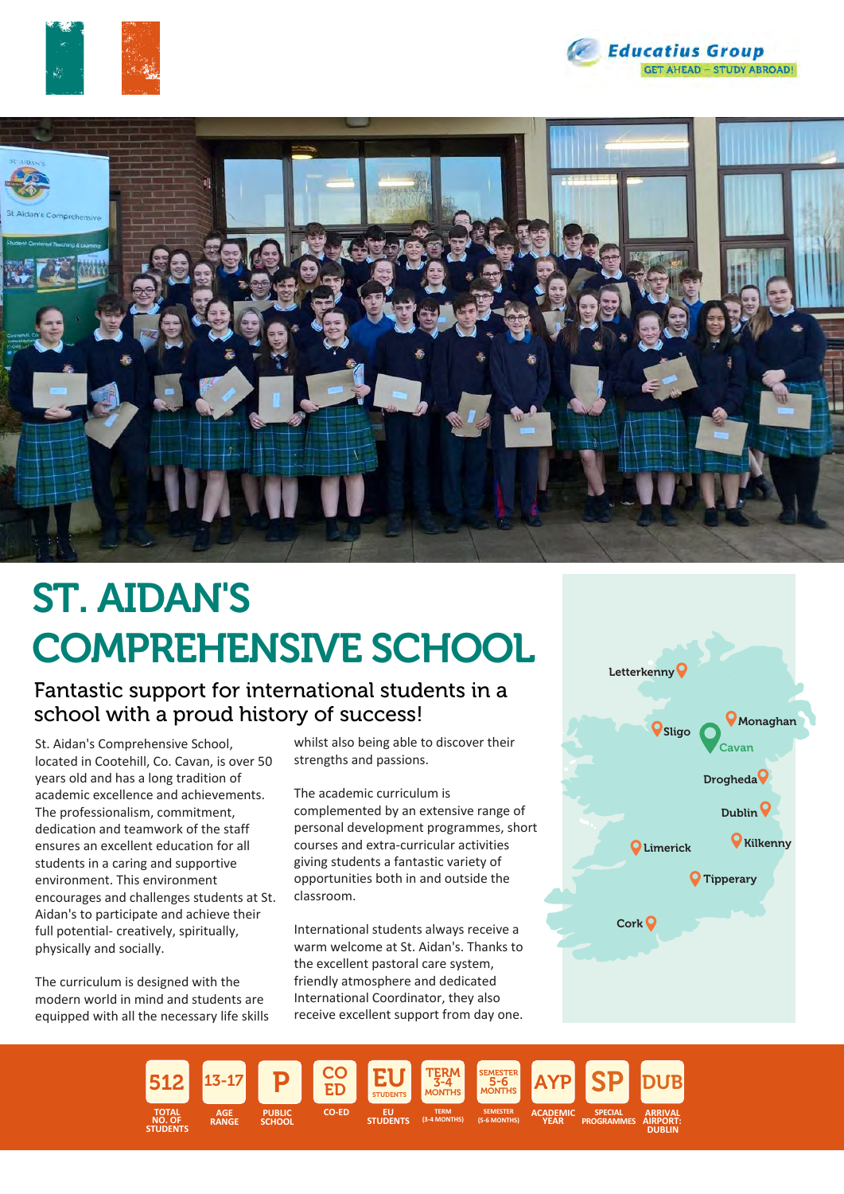





# ST. AIDAN'S COMPREHENSIVE SCHOOL

## Fantastic support for international students in a school with a proud history of success!

St. Aidan's Comprehensive School, located in Cootehill, Co. Cavan, is over 50 years old and has a long tradition of academic excellence and achievements. The professionalism, commitment, dedication and teamwork of the staff ensures an excellent education for all students in a caring and supportive environment. This environment encourages and challenges students at St. Aidan's to participate and achieve their full potential- creatively, spiritually, physically and socially.

The curriculum is designed with the modern world in mind and students are equipped with all the necessary life skills

whilst also being able to discover their strengths and passions.

The academic curriculum is complemented by an extensive range of personal development programmes, short courses and extra-curricular activities giving students a fantastic variety of opportunities both in and outside the classroom.

International students always receive a warm welcome at St. Aidan's. Thanks to the excellent pastoral care system, friendly atmosphere and dedicated International Coordinator, they also receive excellent support from day one.



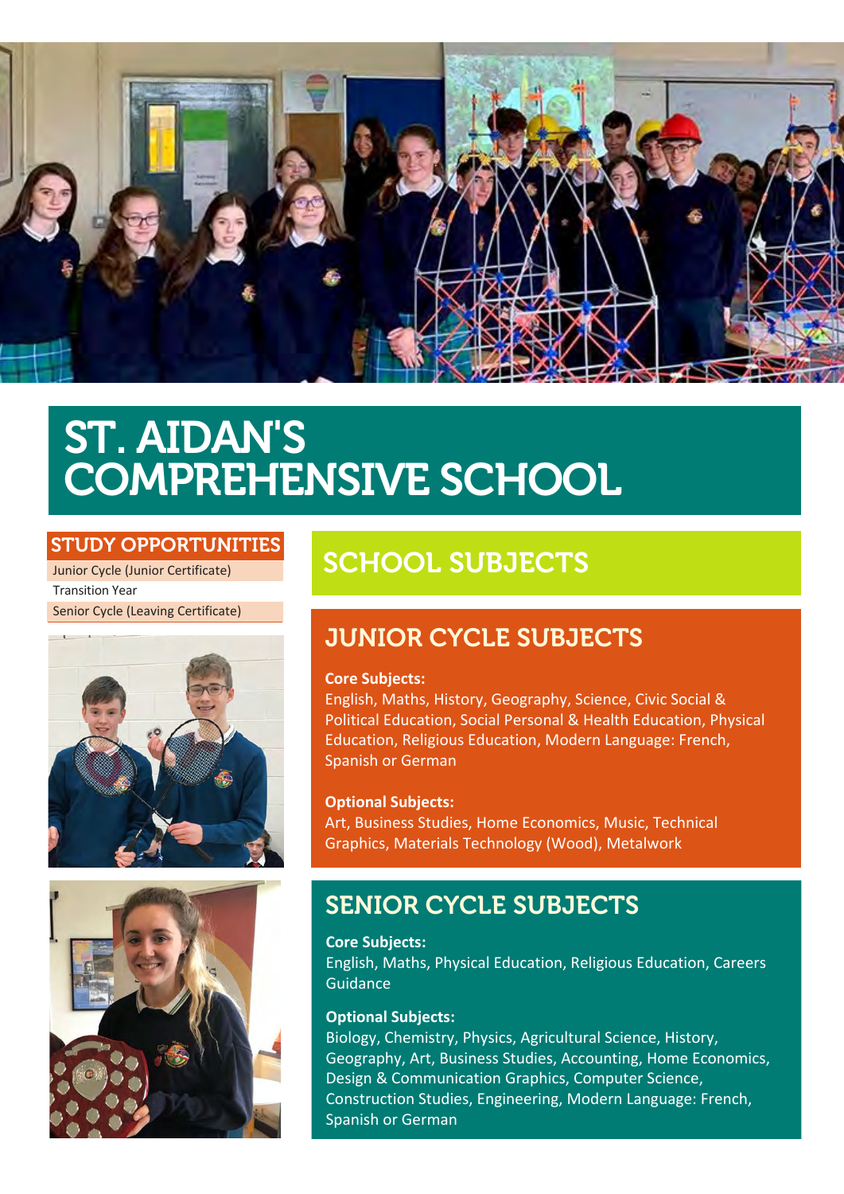

# ST. AIDAN'S COMPREHENSIVE SCHOOL

## STUDY OPPORTUNITIES

Junior Cycle (Junior Certificate) Transition Year Senior Cycle (Leaving Certificate)





# SCHOOL SUBJECTS

# JUNIOR CYCLE SUBJECTS

#### **Core Subjects:**

English, Maths, History, Geography, Science, Civic Social & Political Education, Social Personal & Health Education, Physical Education, Religious Education, Modern Language: French, Spanish or German

#### **Optional Subjects:**

Art, Business Studies, Home Economics, Music, Technical Graphics, Materials Technology (Wood), Metalwork

## SENIOR CYCLE SUBJECTS

**Core Subjects:** English, Maths, Physical Education, Religious Education, Careers Guidance

#### **Optional Subjects:**

Biology, Chemistry, Physics, Agricultural Science, History, Geography, Art, Business Studies, Accounting, Home Economics, Design & Communication Graphics, Computer Science, Construction Studies, Engineering, French, Spanish, German